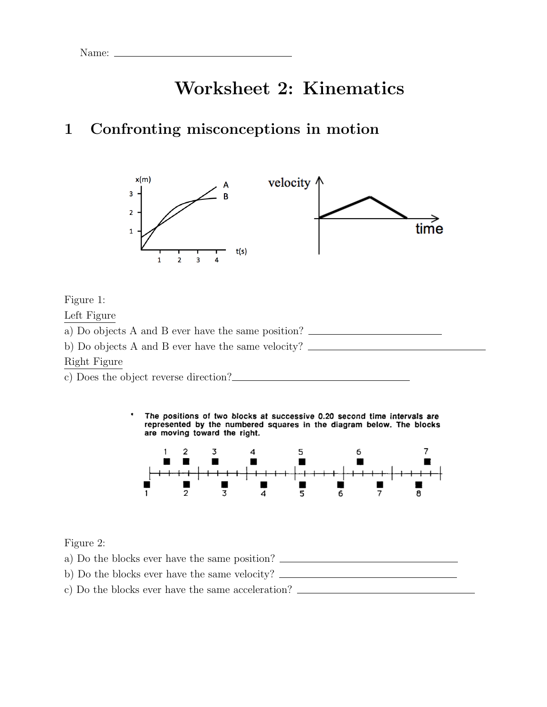Name:  $\equiv$ 

# Worksheet 2: Kinematics

# 1 Confronting misconceptions in motion



Figure 1:

Left Figure

a) Do objects A and B ever have the same position? b) Do objects A and B ever have the same velocity? Right Figure

c) Does the object reverse direction?

The positions of two blocks at successive 0.20 second time intervals are represented by the numbered squares in the diagram below. The blocks are moving toward the right.



Figure 2:

a) Do the blocks ever have the same position? b) Do the blocks ever have the same velocity? c) Do the blocks ever have the same acceleration?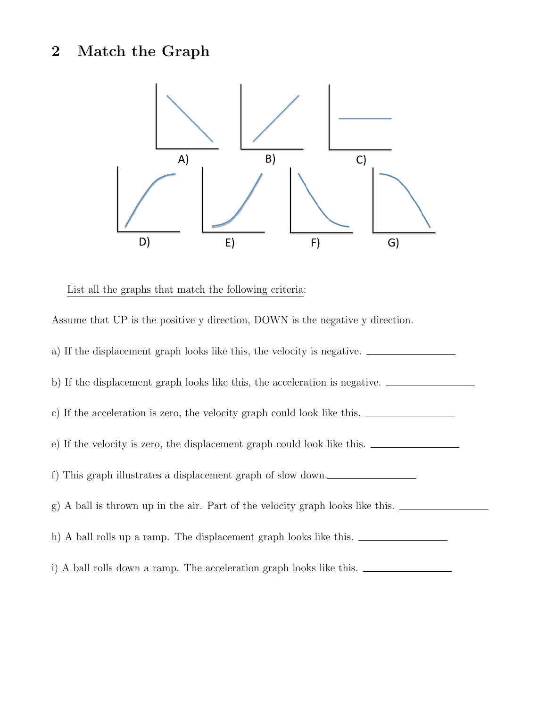# 2 Match the Graph



List all the graphs that match the following criteria:

Assume that UP is the positive y direction, DOWN is the negative y direction. a) If the displacement graph looks like this, the velocity is negative. b) If the displacement graph looks like this, the acceleration is negative. c) If the acceleration is zero, the velocity graph could look like this. e) If the velocity is zero, the displacement graph could look like this. f) This graph illustrates a displacement graph of slow down. g) A ball is thrown up in the air. Part of the velocity graph looks like this. h) A ball rolls up a ramp. The displacement graph looks like this. i) A ball rolls down a ramp. The acceleration graph looks like this.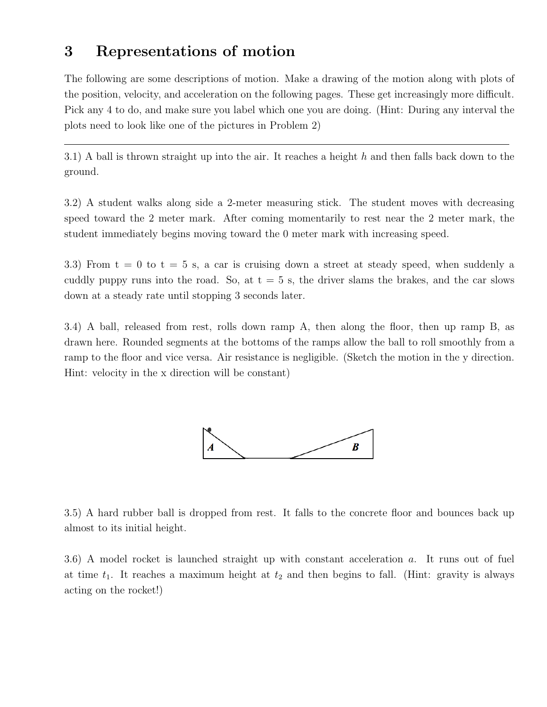#### 3 Representations of motion

The following are some descriptions of motion. Make a drawing of the motion along with plots of the position, velocity, and acceleration on the following pages. These get increasingly more difficult. Pick any 4 to do, and make sure you label which one you are doing. (Hint: During any interval the plots need to look like one of the pictures in Problem 2)

3.1) A ball is thrown straight up into the air. It reaches a height *h* and then falls back down to the ground.

3.2) A student walks along side a 2-meter measuring stick. The student moves with decreasing speed toward the 2 meter mark. After coming momentarily to rest near the 2 meter mark, the student immediately begins moving toward the 0 meter mark with increasing speed.

3.3) From  $t = 0$  to  $t = 5$  s, a car is cruising down a street at steady speed, when suddenly a cuddly puppy runs into the road. So, at  $t = 5$  s, the driver slams the brakes, and the car slows down at a steady rate until stopping 3 seconds later.

3.4) A ball, released from rest, rolls down ramp A, then along the floor, then up ramp B, as drawn here. Rounded segments at the bottoms of the ramps allow the ball to roll smoothly from a ramp to the floor and vice versa. Air resistance is negligible. (Sketch the motion in the y direction. Hint: velocity in the x direction will be constant)



3.5) A hard rubber ball is dropped from rest. It falls to the concrete floor and bounces back up almost to its initial height.

3.6) A model rocket is launched straight up with constant acceleration *a*. It runs out of fuel at time  $t_1$ . It reaches a maximum height at  $t_2$  and then begins to fall. (Hint: gravity is always acting on the rocket!)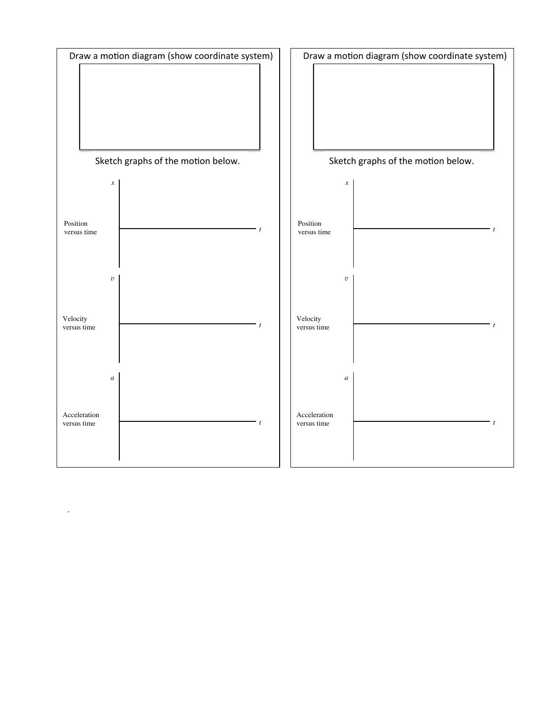

.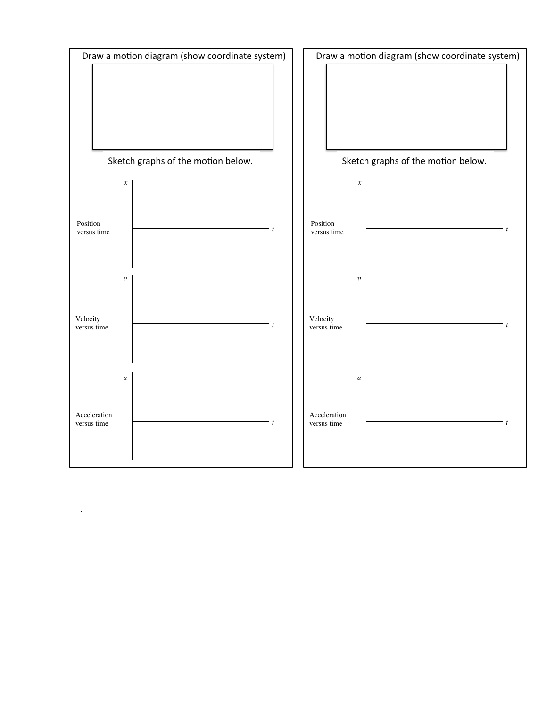

.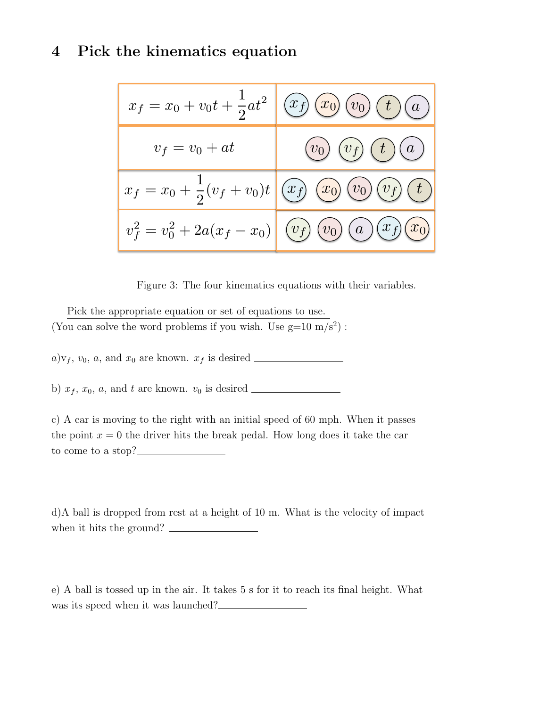## 4 Pick the kinematics equation

|                  | $x_f = x_0 + v_0 t + \frac{1}{2} a t^2 \left[ \left( \overline{x_f} \right) \overline{\left( \overline{x_0} \right) \left( \overline{v_0} \right) \left( \overline{t} \right) \left( \overline{a} \right)} \right]$ |
|------------------|---------------------------------------------------------------------------------------------------------------------------------------------------------------------------------------------------------------------|
| $v_f = v_0 + at$ | $(v_0)\ (v_f)\ (t)\ (a)$                                                                                                                                                                                            |
|                  | $x_f = x_0 + \frac{1}{2}(v_f + v_0)t$ $\left(\overline{x_f}\right)\overline{\left(\overline{x_0}\right)\left(\overline{v_0}\right)\left(\overline{v_f}\right)\left(\overline{t}\right)}$                            |
|                  | $v_f^2 = v_0^2 + 2a(x_f - x_0)$ $(v_f)(v_0)(a)(x_f)(x_0)$                                                                                                                                                           |

Figure 3: The four kinematics equations with their variables.

Pick the appropriate equation or set of equations to use. (You can solve the word problems if you wish. Use g=10  $\rm m/s^2)$  :

*a*)v*<sup>f</sup>* , *v*0, *a*, and *x*<sup>0</sup> are known. *x<sup>f</sup>* is desired

b)  $x_f$ ,  $x_0$ ,  $a$ , and  $t$  are known.  $v_0$  is desired  $\qquad \qquad$ 

c) A car is moving to the right with an initial speed of 60 mph. When it passes the point  $x = 0$  the driver hits the break pedal. How long does it take the car to come to a stop?

d)A ball is dropped from rest at a height of 10 m. What is the velocity of impact when it hits the ground?

e) A ball is tossed up in the air. It takes 5 s for it to reach its final height. What was its speed when it was launched?